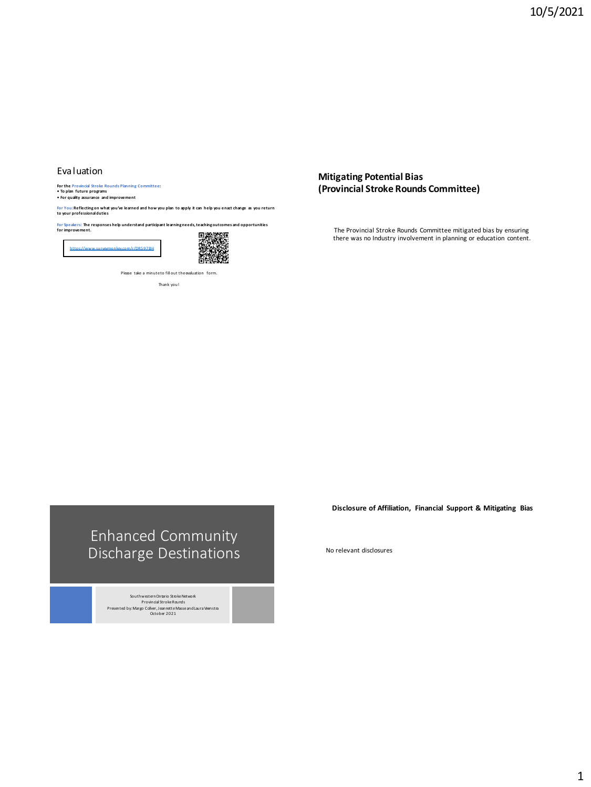### Evaluation

**For the Provincial Stroke Rounds Planning Committee: • To plan future programs • For quality assurance and improvement**

**For You: Reflecting on what you've learned and how you plan to apply it can help you enact change as you return to your professional duties**

**For Speakers: The responses help understand participant learning needs, teaching outcomes and opportunities for improvement.**

<https://www.surveymonkey.com/r/DR597BH>



Please take a minute to fill out the evaluation form.

Thank you!

**Mitigating Potential Bias (Provincial Stroke Rounds Committee)**

The Provincial Stroke Rounds Committee mitigated bias by ensuring there was no Industry involvement in planning or education content.

# Enhanced Community Discharge Destinations

Southwestern Ontario Stroke Network Provincial Stroke Rounds Presented by: Margo Collver, Jeannette Masse and Laura Veenstra October 2021

**Disclosure of Affiliation, Financial Support & Mitigating Bias** 

No relevant disclosures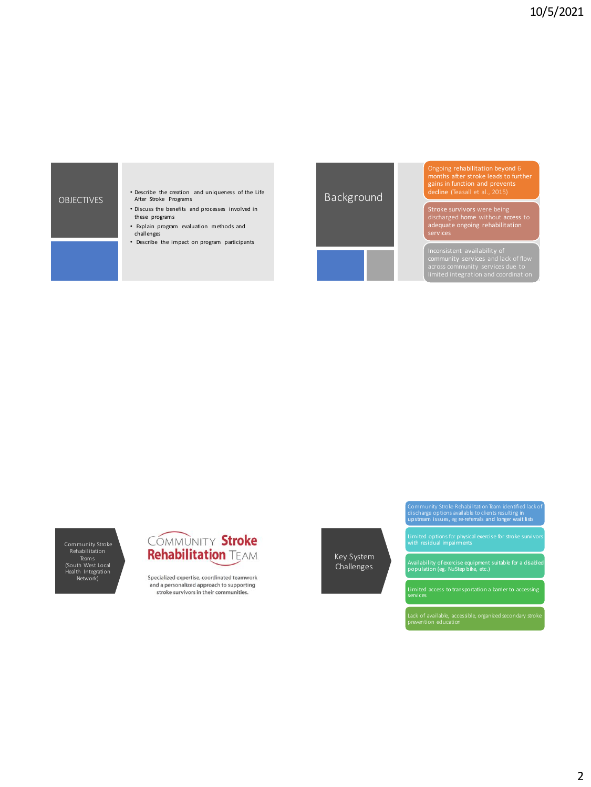



Ongoing rehabilitation beyond 6 months after stroke leads to further gains in function and prevents decline (Teasall et al., 2015)

Stroke survivors were being discharged home without access to adequate ongoing rehabilitation services

Inconsistent availability of community services and lack of flow

Community Stroke Rehabilitation Teams<br>(South West Local<br>Health Integration<br>Network)



Specialized expertise, coordinated teamwork and a personalized approach to supporting stroke survivors in their communities.

Key System Challenges

Availability of exercise equipment suitable for a disabled population (eg. NuStep bike, etc.)

Community Stroke Rehabilitation Team identified lack of discharge options available to clients resulting in upstream issues, eg re-referrals and longer wait lists

Limited options for physical exercise for stroke survivors with residual impairments

Limited access to transportation a barrier to accessing services

Lack of available, accessible, organized secondary stroke prevention education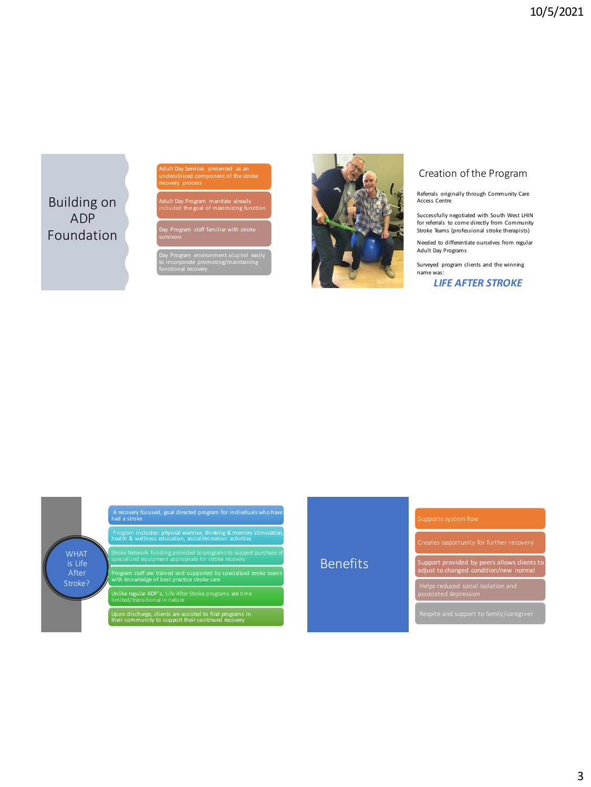Building on ADP Foundation Adult Day Services presented as an underutilized component of the stroke

Adult Day Program mandate already included the goal of maximizing function

Day Program staff familiar with stroke survivors

Day Program environment adapted easily to incorporate promoting/maintaining functional recovery



# Creation of the Program

Referrals originally through Community Care Access Centre

Successfully negotiated with South West LHIN for referrals to come directly from Community Stroke Teams (professional stroke therapists)

Needed to differentiate ourselves from regular Adult Day Programs

Surveyed program clients and the winning name was:

*LIFE AFTER STROKE*



# Benefits

Support provided by peers allows clients to adjust to changed condition/new normal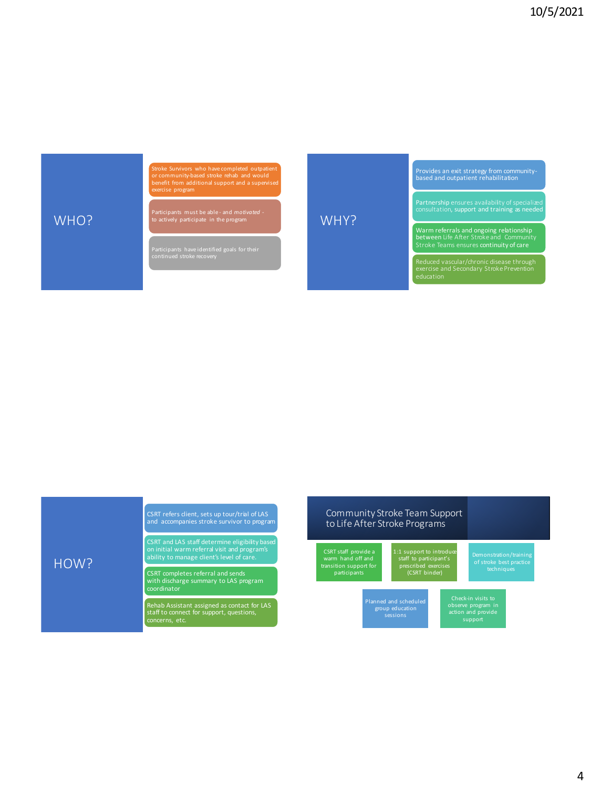# WHO?

HOW?

Stroke Survivors who have completed outpatient or community-based stroke rehab and would benefit from additional support and a supervised

Participants must be able - and *motivated* - to actively participate in the program

Participants have identified goals for their continued stroke recovery

Provides an exit strategy from community-based and outpatient rehabilitation

Partnership ensures availability of specialized<br>consultation, support and training as needed

Warm referrals and ongoing relationship between Life After Stroke and Community

Reduced vascular/chronic disease through exercise and Secondary Stroke Prevention education

# CSRT refers client, sets up tour/trial of LAS and accompanies stroke survivor to program

CSRT and LAS staff determine eligibility based on initial warm referral visit and program's ability to manage client's level of care.

CSRT completes referral and sends with discharge summary to LAS program

Rehab Assistant assigned as contact for LAS staff to connect for support, questions, concerns, etc.

# Community Stroke Team Support to Life After Stroke Programs

CSRT staff provide a warm hand off and transition support for participants

WHY?

1:1 support to introduce staff to participant's prescribed exercises (CSRT binder)

Demonstration/training of stroke best practice techniques

group education sessions

observe program in action and provide support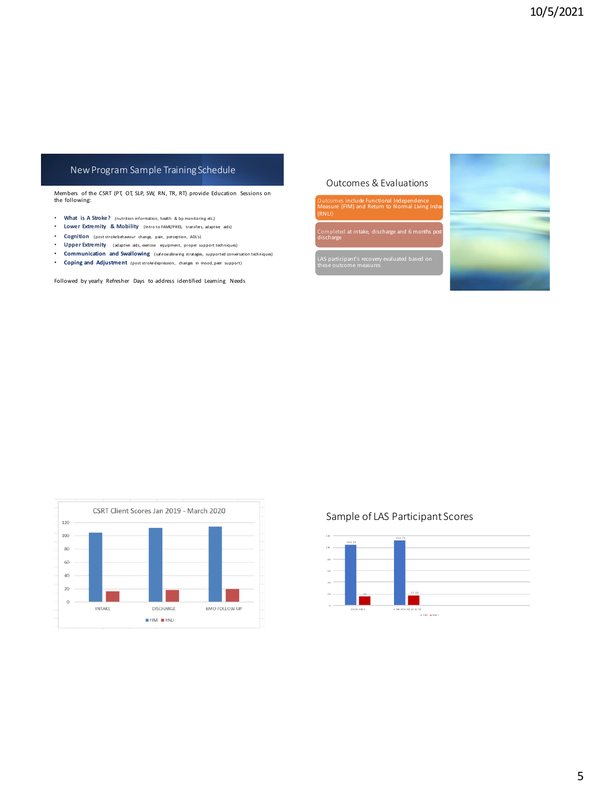# New Program Sample Training Schedule

Members of the CSRT (PT, OT, SLP, SW, RN, TR, RT) provide Education Sessions on the following:

- **What is A Stroke?** (nutrition information, health & bp monitoring etc.)
- **Lower Extremity & Mobility** (Intro to FAME/PRES, transfers, adaptive aids)
- **Cognition** (post stroke behaviour change, pain, perception, ADL's)
- **Upper Extremity** (adaptive aids, exercise equipment, proper support techniques)
- **Communication and Swallowing** (safe swallowing strategies, supported conversation techniques)
- **Coping and Adjustment** (post stroke depression, changes in mood, peer support)

Followed by yearly Refresher Days to address identified Learning Needs

# Outcomes & Evaluations

Outcomes include Functional Independence Measure (FIM) and Return to Normal Living Index

(RNLI)

ce, discharge and 6 months po discharge

LAS participant's recovery evaluated based on these outcome measures





# Sample of LAS Participant Scores

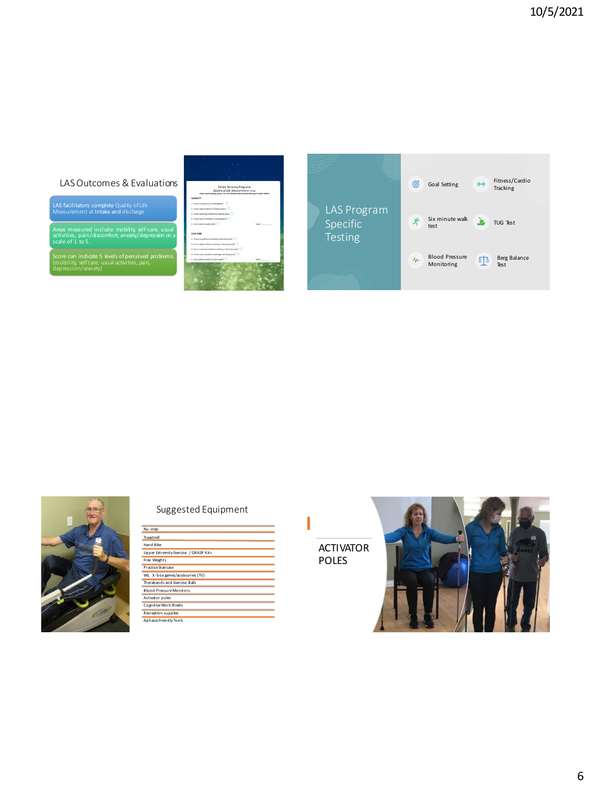# LAS Outcomes & Evaluations

LAS facilitators complete Quality of Life Measurement at Intake and discharge

Areas measured include: mobility, self-care, usual activities, pain/discomfort, anxiety/depression on a scale of 1 to 5.

Score can indicate 5 levels of perceived problems. (mobility, self care, usual activities, pain, depression/anxiety)







# Suggested Equipment

| Nu-step                               |
|---------------------------------------|
| <b>Tread mill</b>                     |
| Hand Rike                             |
| Upper Extremity Exercise / GRASP Kits |
| Free Weights                          |
| Practice Staircase                    |
| Wii. X-box games/accessories (TV)     |
| Therabands and Exercise Balls         |
| <b>Blood Pressure Monitors</b>        |
| Activator poles                       |
| Cognitive Work Sheets                 |
| Recreation supplies                   |
| Aphasia Friendly Tools                |

ACTIVATOR POLES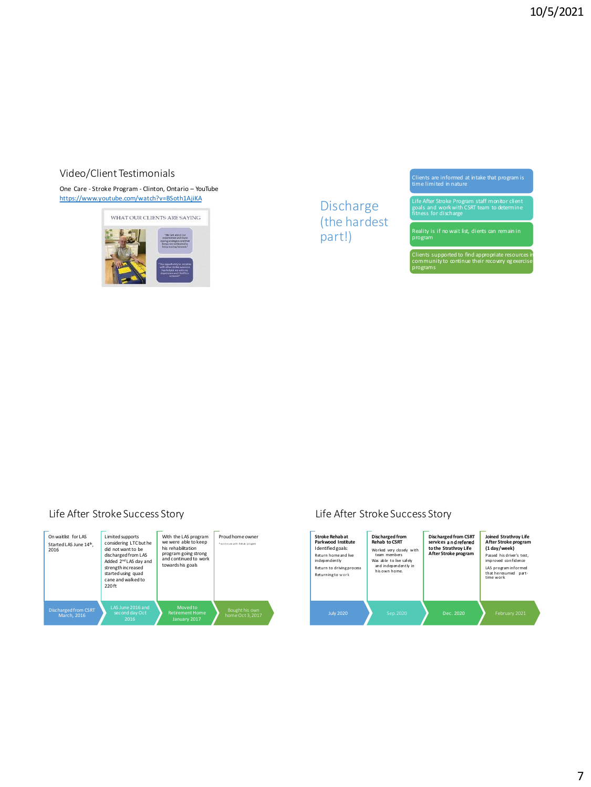# Video/Client Testimonials

One Care - Stroke Program - Clinton, Ontario – YouTube <https://www.youtube.com/watch?v=BSoth1AjiKA> Discharge



(the hardest part!)

Clients are informed at intake that program is time limited in nature

Life After Stroke Program staff monitor client goals and work with CSRT team to determine fitness for discharge

Reality is if no wait list, dients can remain in<br>program

Clients supported to find appropriate resources in community to continue their recovery egexercise programs

# Life After Stroke Success Story



# Life After Stroke Success Story